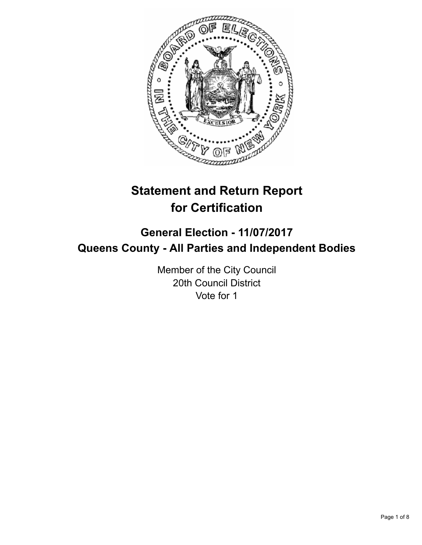

# **Statement and Return Report for Certification**

## **General Election - 11/07/2017 Queens County - All Parties and Independent Bodies**

Member of the City Council 20th Council District Vote for 1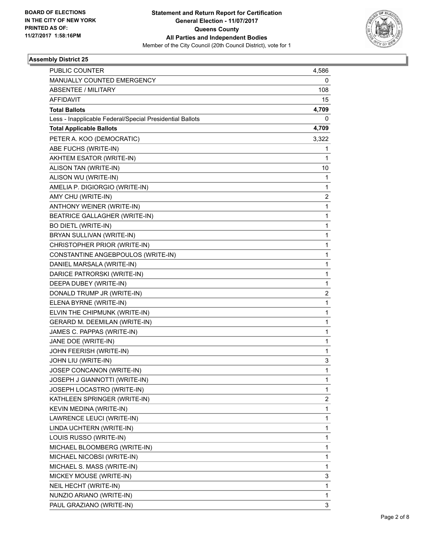

| PUBLIC COUNTER                                           | 4,586 |
|----------------------------------------------------------|-------|
| MANUALLY COUNTED EMERGENCY                               | 0     |
| ABSENTEE / MILITARY                                      | 108   |
| AFFIDAVIT                                                | 15    |
| <b>Total Ballots</b>                                     | 4,709 |
| Less - Inapplicable Federal/Special Presidential Ballots | 0     |
| <b>Total Applicable Ballots</b>                          | 4,709 |
| PETER A. KOO (DEMOCRATIC)                                | 3,322 |
| ABE FUCHS (WRITE-IN)                                     | 1     |
| AKHTEM ESATOR (WRITE-IN)                                 | 1     |
| ALISON TAN (WRITE-IN)                                    | 10    |
| ALISON WU (WRITE-IN)                                     | 1     |
| AMELIA P. DIGIORGIO (WRITE-IN)                           | 1     |
| AMY CHU (WRITE-IN)                                       | 2     |
| ANTHONY WEINER (WRITE-IN)                                | 1     |
| BEATRICE GALLAGHER (WRITE-IN)                            | 1     |
| <b>BO DIETL (WRITE-IN)</b>                               | 1     |
| BRYAN SULLIVAN (WRITE-IN)                                | 1     |
| CHRISTOPHER PRIOR (WRITE-IN)                             | 1     |
| CONSTANTINE ANGEBPOULOS (WRITE-IN)                       | 1     |
| DANIEL MARSALA (WRITE-IN)                                | 1     |
| DARICE PATRORSKI (WRITE-IN)                              | 1     |
| DEEPA DUBEY (WRITE-IN)                                   | 1     |
| DONALD TRUMP JR (WRITE-IN)                               | 2     |
| ELENA BYRNE (WRITE-IN)                                   | 1     |
| ELVIN THE CHIPMUNK (WRITE-IN)                            | 1     |
| GERARD M. DEEMILAN (WRITE-IN)                            | 1     |
| JAMES C. PAPPAS (WRITE-IN)                               | 1     |
| JANE DOE (WRITE-IN)                                      | 1     |
| JOHN FEERISH (WRITE-IN)                                  | 1     |
| JOHN LIU (WRITE-IN)                                      | 3     |
| JOSEP CONCANON (WRITE-IN)                                | 1     |
| JOSEPH J GIANNOTTI (WRITE-IN)                            | 1     |
| JOSEPH LOCASTRO (WRITE-IN)                               | 1     |
| KATHLEEN SPRINGER (WRITE-IN)                             | 2     |
| KEVIN MEDINA (WRITE-IN)                                  | 1     |
| LAWRENCE LEUCI (WRITE-IN)                                | 1     |
| LINDA UCHTERN (WRITE-IN)                                 | 1     |
| LOUIS RUSSO (WRITE-IN)                                   | 1     |
| MICHAEL BLOOMBERG (WRITE-IN)                             | 1     |
| MICHAEL NICOBSI (WRITE-IN)                               | 1     |
| MICHAEL S. MASS (WRITE-IN)                               | 1     |
| MICKEY MOUSE (WRITE-IN)                                  | 3     |
| NEIL HECHT (WRITE-IN)                                    | 1     |
| NUNZIO ARIANO (WRITE-IN)                                 | 1     |
| PAUL GRAZIANO (WRITE-IN)                                 | 3     |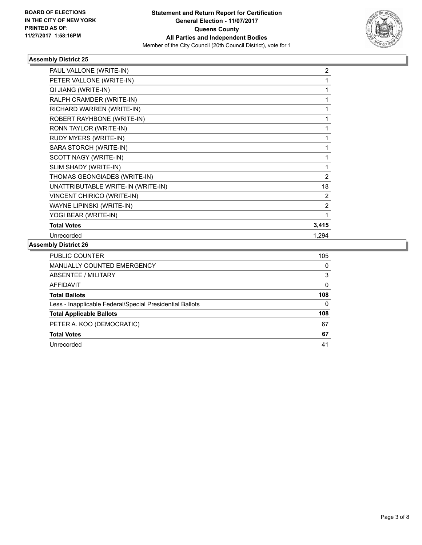

| PAUL VALLONE (WRITE-IN)            | 2            |
|------------------------------------|--------------|
| PETER VALLONE (WRITE-IN)           | 1            |
| QI JIANG (WRITE-IN)                | 1            |
| RALPH CRAMDER (WRITE-IN)           | 1            |
| RICHARD WARREN (WRITE-IN)          | 1            |
| ROBERT RAYHBONE (WRITE-IN)         | 1            |
| RONN TAYLOR (WRITE-IN)             | 1            |
| RUDY MYERS (WRITE-IN)              | $\mathbf{1}$ |
| SARA STORCH (WRITE-IN)             | 1            |
| SCOTT NAGY (WRITE-IN)              |              |
| SLIM SHADY (WRITE-IN)              | 1            |
| THOMAS GEONGIADES (WRITE-IN)       | 2            |
| UNATTRIBUTABLE WRITE-IN (WRITE-IN) | 18           |
| VINCENT CHIRICO (WRITE-IN)         | 2            |
| WAYNE LIPINSKI (WRITE-IN)          | 2            |
| YOGI BEAR (WRITE-IN)               |              |
| <b>Total Votes</b>                 | 3,415        |
| Unrecorded                         | 1,294        |
| <b>I.L. BL.L.L.AA</b>              |              |

| <b>PUBLIC COUNTER</b>                                    | 105 |
|----------------------------------------------------------|-----|
| <b>MANUALLY COUNTED EMERGENCY</b>                        | 0   |
| <b>ABSENTEE / MILITARY</b>                               | 3   |
| AFFIDAVIT                                                | 0   |
| <b>Total Ballots</b>                                     | 108 |
| Less - Inapplicable Federal/Special Presidential Ballots | 0   |
| <b>Total Applicable Ballots</b>                          | 108 |
| PETER A. KOO (DEMOCRATIC)                                | 67  |
| <b>Total Votes</b>                                       | 67  |
| Unrecorded                                               | 41  |
|                                                          |     |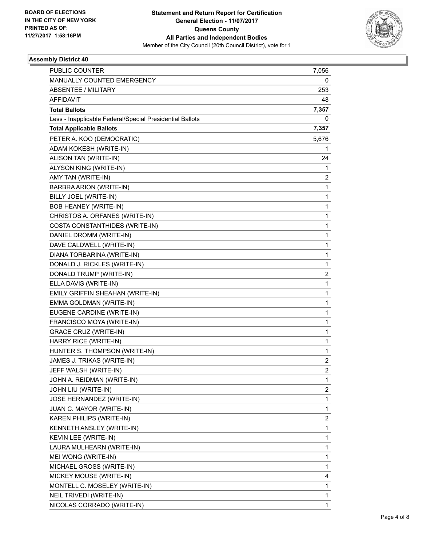

| <b>PUBLIC COUNTER</b>                                    | 7,056          |
|----------------------------------------------------------|----------------|
| MANUALLY COUNTED EMERGENCY                               | 0              |
| <b>ABSENTEE / MILITARY</b>                               | 253            |
| <b>AFFIDAVIT</b>                                         | 48             |
| <b>Total Ballots</b>                                     | 7,357          |
| Less - Inapplicable Federal/Special Presidential Ballots | 0              |
| <b>Total Applicable Ballots</b>                          | 7,357          |
| PETER A. KOO (DEMOCRATIC)                                | 5,676          |
| ADAM KOKESH (WRITE-IN)                                   | 1              |
| ALISON TAN (WRITE-IN)                                    | 24             |
| ALYSON KING (WRITE-IN)                                   | 1              |
| AMY TAN (WRITE-IN)                                       | 2              |
| BARBRA ARION (WRITE-IN)                                  | 1              |
| BILLY JOEL (WRITE-IN)                                    | 1              |
| <b>BOB HEANEY (WRITE-IN)</b>                             | 1              |
| CHRISTOS A. ORFANES (WRITE-IN)                           | 1              |
| COSTA CONSTANTHIDES (WRITE-IN)                           | 1              |
| DANIEL DROMM (WRITE-IN)                                  | 1              |
| DAVE CALDWELL (WRITE-IN)                                 | 1              |
| DIANA TORBARINA (WRITE-IN)                               | 1              |
| DONALD J. RICKLES (WRITE-IN)                             | 1              |
| DONALD TRUMP (WRITE-IN)                                  | 2              |
| ELLA DAVIS (WRITE-IN)                                    | 1              |
| EMILY GRIFFIN SHEAHAN (WRITE-IN)                         | 1              |
| EMMA GOLDMAN (WRITE-IN)                                  | 1              |
| EUGENE CARDINE (WRITE-IN)                                | 1              |
| FRANCISCO MOYA (WRITE-IN)                                | 1              |
| <b>GRACE CRUZ (WRITE-IN)</b>                             | 1              |
| HARRY RICE (WRITE-IN)                                    | 1              |
| HUNTER S. THOMPSON (WRITE-IN)                            | 1              |
| JAMES J. TRIKAS (WRITE-IN)                               | 2              |
| JEFF WALSH (WRITE-IN)                                    | $\overline{2}$ |
| JOHN A. REIDMAN (WRITE-IN)                               | 1              |
| JOHN LIU (WRITE-IN)                                      | 2              |
| JOSE HERNANDEZ (WRITE-IN)                                | 1              |
| JUAN C. MAYOR (WRITE-IN)                                 | 1              |
| KAREN PHILIPS (WRITE-IN)                                 | 2              |
| KENNETH ANSLEY (WRITE-IN)                                | 1              |
| KEVIN LEE (WRITE-IN)                                     | 1              |
| LAURA MULHEARN (WRITE-IN)                                | 1              |
| MEI WONG (WRITE-IN)                                      | 1              |
| MICHAEL GROSS (WRITE-IN)                                 | 1              |
| MICKEY MOUSE (WRITE-IN)                                  | 4              |
| MONTELL C. MOSELEY (WRITE-IN)                            | 1              |
| NEIL TRIVEDI (WRITE-IN)                                  | 1              |
| NICOLAS CORRADO (WRITE-IN)                               | 1              |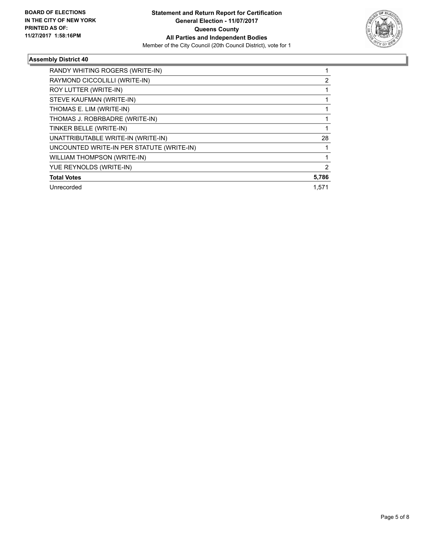

| RANDY WHITING ROGERS (WRITE-IN)           |       |
|-------------------------------------------|-------|
| RAYMOND CICCOLILLI (WRITE-IN)             | 2     |
| ROY LUTTER (WRITE-IN)                     |       |
| STEVE KAUFMAN (WRITE-IN)                  |       |
| THOMAS E. LIM (WRITE-IN)                  |       |
| THOMAS J. ROBRBADRE (WRITE-IN)            |       |
| TINKER BELLE (WRITE-IN)                   |       |
| UNATTRIBUTABLE WRITE-IN (WRITE-IN)        | 28    |
| UNCOUNTED WRITE-IN PER STATUTE (WRITE-IN) |       |
| <b>WILLIAM THOMPSON (WRITE-IN)</b>        |       |
| YUE REYNOLDS (WRITE-IN)                   | 2     |
| <b>Total Votes</b>                        | 5,786 |
| Unrecorded                                | 1,571 |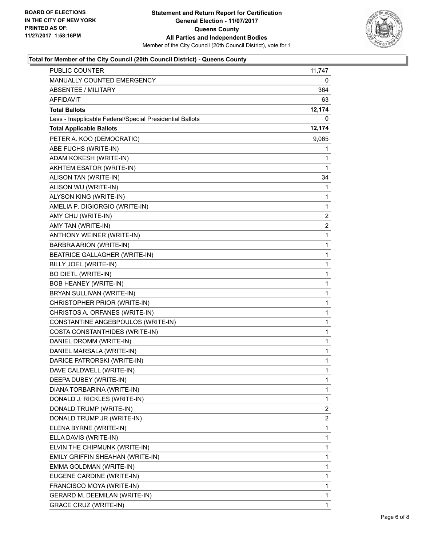

#### **Total for Member of the City Council (20th Council District) - Queens County**

| PUBLIC COUNTER                                           | 11,747                  |
|----------------------------------------------------------|-------------------------|
| MANUALLY COUNTED EMERGENCY                               | 0                       |
| ABSENTEE / MILITARY                                      | 364                     |
| AFFIDAVIT                                                | 63                      |
| <b>Total Ballots</b>                                     | 12,174                  |
| Less - Inapplicable Federal/Special Presidential Ballots | 0                       |
| <b>Total Applicable Ballots</b>                          | 12,174                  |
| PETER A. KOO (DEMOCRATIC)                                | 9,065                   |
| ABE FUCHS (WRITE-IN)                                     | 1                       |
| ADAM KOKESH (WRITE-IN)                                   | 1                       |
| AKHTEM ESATOR (WRITE-IN)                                 | 1                       |
| ALISON TAN (WRITE-IN)                                    | 34                      |
| ALISON WU (WRITE-IN)                                     | 1                       |
| ALYSON KING (WRITE-IN)                                   | 1                       |
| AMELIA P. DIGIORGIO (WRITE-IN)                           | 1                       |
| AMY CHU (WRITE-IN)                                       | 2                       |
| AMY TAN (WRITE-IN)                                       | 2                       |
| ANTHONY WEINER (WRITE-IN)                                | $\mathbf 1$             |
| BARBRA ARION (WRITE-IN)                                  | 1                       |
| BEATRICE GALLAGHER (WRITE-IN)                            | 1                       |
| BILLY JOEL (WRITE-IN)                                    | 1                       |
| <b>BO DIETL (WRITE-IN)</b>                               | 1                       |
| <b>BOB HEANEY (WRITE-IN)</b>                             | 1                       |
| BRYAN SULLIVAN (WRITE-IN)                                | 1                       |
| CHRISTOPHER PRIOR (WRITE-IN)                             | 1                       |
| CHRISTOS A. ORFANES (WRITE-IN)                           | 1                       |
| CONSTANTINE ANGEBPOULOS (WRITE-IN)                       | 1                       |
| COSTA CONSTANTHIDES (WRITE-IN)                           | 1                       |
| DANIEL DROMM (WRITE-IN)                                  | 1                       |
| DANIEL MARSALA (WRITE-IN)                                | $\mathbf 1$             |
| DARICE PATRORSKI (WRITE-IN)                              | 1                       |
| DAVE CALDWELL (WRITE-IN)                                 | 1                       |
| DEEPA DUBEY (WRITE-IN)                                   | 1                       |
| DIANA TORBARINA (WRITE-IN)                               | 1                       |
| DONALD J. RICKLES (WRITE-IN)                             | 1                       |
| DONALD TRUMP (WRITE-IN)                                  | 2                       |
| DONALD TRUMP JR (WRITE-IN)                               | $\overline{\mathbf{c}}$ |
| ELENA BYRNE (WRITE-IN)                                   | 1                       |
| ELLA DAVIS (WRITE-IN)                                    | 1                       |
| ELVIN THE CHIPMUNK (WRITE-IN)                            | 1                       |
| EMILY GRIFFIN SHEAHAN (WRITE-IN)                         | 1                       |
| EMMA GOLDMAN (WRITE-IN)                                  | $\mathbf{1}$            |
| EUGENE CARDINE (WRITE-IN)                                | 1                       |
| FRANCISCO MOYA (WRITE-IN)                                | 1                       |
| GERARD M. DEEMILAN (WRITE-IN)                            | 1                       |
| <b>GRACE CRUZ (WRITE-IN)</b>                             | 1                       |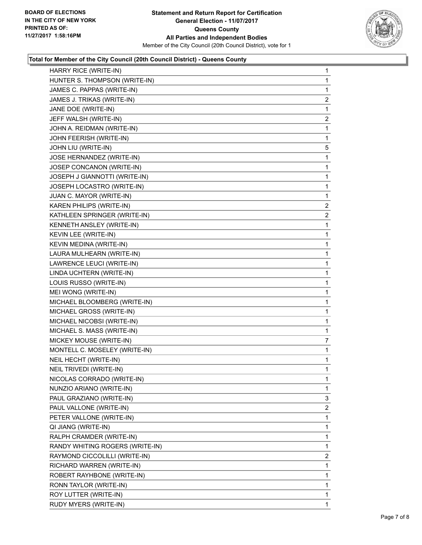

#### **Total for Member of the City Council (20th Council District) - Queens County**

| HARRY RICE (WRITE-IN)           | $\mathbf{1}$            |
|---------------------------------|-------------------------|
| HUNTER S. THOMPSON (WRITE-IN)   | $\mathbf{1}$            |
| JAMES C. PAPPAS (WRITE-IN)      | 1                       |
| JAMES J. TRIKAS (WRITE-IN)      | $\overline{\mathbf{c}}$ |
| JANE DOE (WRITE-IN)             | 1                       |
| JEFF WALSH (WRITE-IN)           | $\overline{2}$          |
| JOHN A. REIDMAN (WRITE-IN)      | 1                       |
| JOHN FEERISH (WRITE-IN)         | $\mathbf 1$             |
| JOHN LIU (WRITE-IN)             | 5                       |
| JOSE HERNANDEZ (WRITE-IN)       | 1                       |
| JOSEP CONCANON (WRITE-IN)       | 1                       |
| JOSEPH J GIANNOTTI (WRITE-IN)   | 1                       |
| JOSEPH LOCASTRO (WRITE-IN)      | 1                       |
| JUAN C. MAYOR (WRITE-IN)        | $\mathbf 1$             |
| KAREN PHILIPS (WRITE-IN)        | $\overline{2}$          |
| KATHLEEN SPRINGER (WRITE-IN)    | 2                       |
| KENNETH ANSLEY (WRITE-IN)       | 1                       |
| KEVIN LEE (WRITE-IN)            | 1                       |
| KEVIN MEDINA (WRITE-IN)         | 1                       |
| LAURA MULHEARN (WRITE-IN)       | $\mathbf 1$             |
| LAWRENCE LEUCI (WRITE-IN)       | 1                       |
| LINDA UCHTERN (WRITE-IN)        | 1                       |
| LOUIS RUSSO (WRITE-IN)          | 1                       |
| MEI WONG (WRITE-IN)             | 1                       |
| MICHAEL BLOOMBERG (WRITE-IN)    | 1                       |
| MICHAEL GROSS (WRITE-IN)        | $\mathbf{1}$            |
| MICHAEL NICOBSI (WRITE-IN)      | 1                       |
| MICHAEL S. MASS (WRITE-IN)      | 1                       |
| MICKEY MOUSE (WRITE-IN)         | 7                       |
| MONTELL C. MOSELEY (WRITE-IN)   | 1                       |
| NEIL HECHT (WRITE-IN)           | 1                       |
| NEIL TRIVEDI (WRITE-IN)         | $\mathbf 1$             |
| NICOLAS CORRADO (WRITE-IN)      | 1                       |
| NUNZIO ARIANO (WRITE-IN)        | 1                       |
| PAUL GRAZIANO (WRITE-IN)        | 3                       |
| PAUL VALLONE (WRITE-IN)         | $\overline{2}$          |
| PETER VALLONE (WRITE-IN)        | 1                       |
| QI JIANG (WRITE-IN)             | 1                       |
| RALPH CRAMDER (WRITE-IN)        | 1                       |
| RANDY WHITING ROGERS (WRITE-IN) | 1                       |
| RAYMOND CICCOLILLI (WRITE-IN)   | 2                       |
| RICHARD WARREN (WRITE-IN)       | 1                       |
| ROBERT RAYHBONE (WRITE-IN)      | 1                       |
| RONN TAYLOR (WRITE-IN)          | 1                       |
| ROY LUTTER (WRITE-IN)           | 1                       |
| RUDY MYERS (WRITE-IN)           | 1                       |